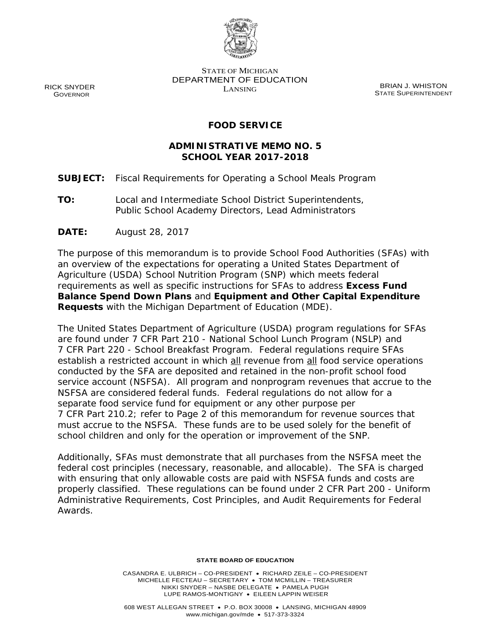

RICK SNYDER GOVERNOR

STATE OF MICHIGAN DEPARTMENT OF EDUCATION EXAMPLE 3 STRIPED AND REAL BRIAN J. WHISTON

STATE SUPERINTENDENT

# **FOOD SERVICE**

# **ADMINISTRATIVE MEMO NO. 5 SCHOOL YEAR 2017-2018**

- **SUBJECT:** Fiscal Requirements for Operating a School Meals Program
- **TO:** Local and Intermediate School District Superintendents, Public School Academy Directors, Lead Administrators
- **DATE:** August 28, 2017

The purpose of this memorandum is to provide School Food Authorities (SFAs) with an overview of the expectations for operating a United States Department of Agriculture (USDA) School Nutrition Program (SNP) which meets federal requirements as well as specific instructions for SFAs to address **Excess Fund Balance Spend Down Plans** and **Equipment and Other Capital Expenditure Requests** with the Michigan Department of Education (MDE).

The United States Department of Agriculture (USDA) program regulations for SFAs are found under 7 CFR Part 210 - National School Lunch Program (NSLP) and 7 CFR Part 220 - School Breakfast Program. Federal regulations require SFAs establish a restricted account in which all revenue from all food service operations conducted by the SFA are deposited and retained in the non-profit school food service account (NSFSA). All program and nonprogram revenues that accrue to the NSFSA are considered federal funds. Federal regulations do not allow for a separate food service fund for equipment or any other purpose per 7 CFR Part 210.2; refer to Page 2 of this memorandum for revenue sources that must accrue to the NSFSA. These funds are to be used solely for the benefit of school children and only for the operation or improvement of the SNP.

Additionally, SFAs must demonstrate that all purchases from the NSFSA meet the federal cost principles (necessary, reasonable, and allocable). The SFA is charged with ensuring that only allowable costs are paid with NSFSA funds and costs are properly classified. These regulations can be found under 2 CFR Part 200 - Uniform Administrative Requirements, Cost Principles, and Audit Requirements for Federal Awards.

#### **STATE BOARD OF EDUCATION**

CASANDRA E. ULBRICH – CO-PRESIDENT • RICHARD ZEILE – CO-PRESIDENT MICHELLE FECTEAU – SECRETARY • TOM MCMILLIN – TREASURER NIKKI SNYDER – NASBE DELEGATE • PAMELA PUGH LUPE RAMOS-MONTIGNY • EILEEN LAPPIN WEISER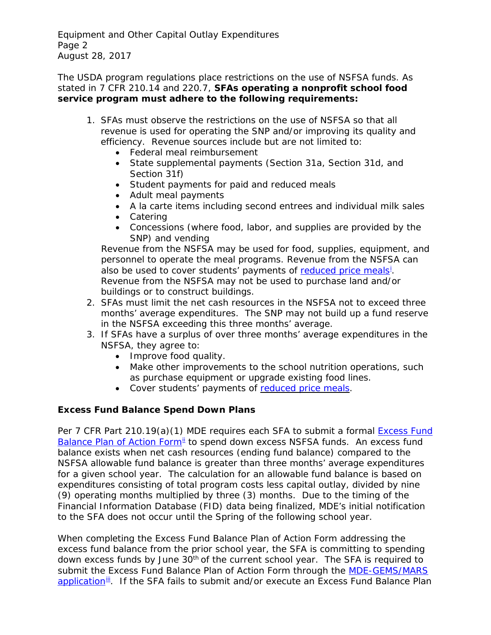Equipment and Other Capital Outlay Expenditures Page 2 August 28, 2017

The USDA program regulations place restrictions on the use of NSFSA funds. As stated in 7 CFR 210.14 and 220.7, **SFAs operating a nonprofit school food service program must adhere to the following requirements:** 

- 1. SFAs must observe the restrictions on the use of NSFSA so that all revenue is used for operating the SNP and/or improving its quality and efficiency. Revenue sources include but are not limited to:
	- Federal meal reimbursement
	- State supplemental payments (Section 31a, Section 31d, and Section 31f)
	- Student payments for paid and reduced meals
	- Adult meal payments
	- A la carte items including second entrees and individual milk sales
	- Catering
	- Concessions (where food, labor, and supplies are provided by the SNP) and vending

Revenue from the NSFSA may be used for food, supplies, equipment, and personnel to operate the meal programs. Revenue from the NSFSA can also be used to cover students' payments of [reduced price meals](https://www.fns.usda.gov/discretionary-elimination-reduced-price-charges-school-meal-programs)<sup>[i](#page-3-0)</sup>. Revenue from the NSFSA may not be used to purchase land and/or buildings or to construct buildings.

- 2. SFAs must limit the net cash resources in the NSFSA not to exceed three months' average expenditures. The SNP may not build up a fund reserve in the NSFSA exceeding this three months' average.
- 3. If SFAs have a surplus of over three months' average expenditures in the NSFSA, they agree to:
	- Improve food quality.
	- Make other improvements to the school nutrition operations, such as purchase equipment or upgrade existing food lines.
	- Cover students' payments of [reduced](https://www.fns.usda.gov/discretionary-elimination-reduced-price-charges-school-meal-programs) price meals.

# **Excess Fund Balance Spend Down Plans**

Per 7 CFR Part 210.19(a)(1) MDE requires each SFA to submit a formal [Excess Fund](http://www.michigan.gov/documents/mde/Excess_Funds_Plan_of_Action_Over_5K_573241_7.pdf)  [Balance Plan of Action Form](http://www.michigan.gov/documents/mde/Excess_Funds_Plan_of_Action_Over_5K_573241_7.pdf)<sup>[ii](#page-3-1)</sup> to spend down excess NSFSA funds. An excess fund balance exists when net cash resources (ending fund balance) compared to the NSFSA allowable fund balance is greater than three months' average expenditures for a given school year. The calculation for an allowable fund balance is based on expenditures consisting of total program costs less capital outlay, divided by nine (9) operating months multiplied by three (3) months. Due to the timing of the Financial Information Database (FID) data being finalized, MDE's initial notification to the SFA does not occur until the Spring of the following school year.

When completing the Excess Fund Balance Plan of Action Form addressing the excess fund balance from the prior school year, the SFA is committing to spending down excess funds by June 30<sup>th</sup> of the current school year. The SFA is required to submit the Excess Fund Balance Plan of Action Form through the [MDE-GEMS/MARS](http://www.michigan.gov/mde/0,4615,7-140-5236_63101---,00.html)  [application](http://www.michigan.gov/mde/0,4615,7-140-5236_63101---,00.html)<sup>iii</sup>. If the SFA fails to submit and/or execute an Excess Fund Balance Plan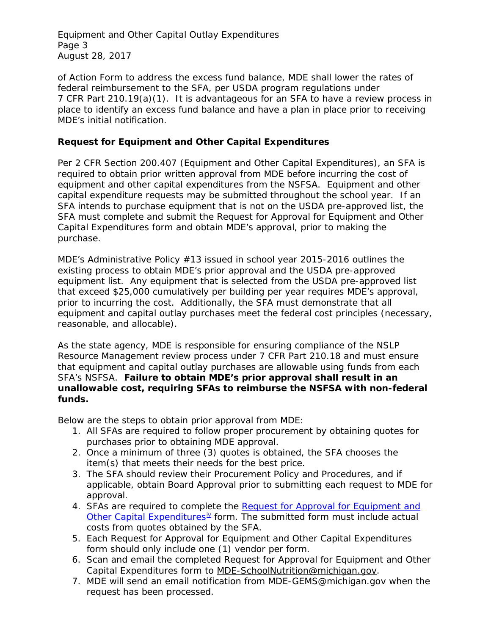Equipment and Other Capital Outlay Expenditures Page 3 August 28, 2017

of Action Form to address the excess fund balance, MDE shall lower the rates of federal reimbursement to the SFA, per USDA program regulations under 7 CFR Part 210.19(a)(1). It is advantageous for an SFA to have a review process in place to identify an excess fund balance and have a plan in place prior to receiving MDE's initial notification.

### **Request for Equipment and Other Capital Expenditures**

Per 2 CFR Section 200.407 (Equipment and Other Capital Expenditures), an SFA is required to obtain prior written approval from MDE before incurring the cost of equipment and other capital expenditures from the NSFSA. Equipment and other capital expenditure requests may be submitted throughout the school year. If an SFA intends to purchase equipment that is not on the USDA pre-approved list, the SFA must complete and submit the Request for Approval for Equipment and Other Capital Expenditures form and obtain MDE's approval, prior to making the purchase.

MDE's Administrative Policy #13 issued in school year 2015-2016 outlines the existing process to obtain MDE's prior approval and the USDA pre-approved equipment list. Any equipment that is selected from the USDA pre-approved list that exceed \$25,000 cumulatively per building per year requires MDE's approval, prior to incurring the cost. Additionally, the SFA must demonstrate that all equipment and capital outlay purchases meet the federal cost principles (necessary, reasonable, and allocable).

As the state agency, MDE is responsible for ensuring compliance of the NSLP Resource Management review process under 7 CFR Part 210.18 and must ensure that equipment and capital outlay purchases are allowable using funds from each SFA's NSFSA. **Failure to obtain MDE's prior approval shall result in an unallowable cost, requiring SFAs to reimburse the NSFSA with non-federal funds.**

Below are the steps to obtain prior approval from MDE:

- 1. All SFAs are required to follow proper procurement by obtaining quotes for purchases prior to obtaining MDE approval.
- 2. Once a minimum of three (3) quotes is obtained, the SFA chooses the item(s) that meets their needs for the best price.
- 3. The SFA should review their Procurement Policy and Procedures, and if applicable, obtain Board Approval prior to submitting each request to MDE for approval.
- 4. SFAs are required to complete the Request for Approval for Equipment and Other Capital Expenditures<sup>i[v](#page-3-3)</sup> form. The submitted form must include actual costs from quotes obtained by the SFA.
- 5. Each Request for Approval for Equipment and Other Capital Expenditures form should only include one (1) vendor per form.
- 6. Scan and email the completed Request for Approval for Equipment and Other Capital Expenditures form to [MDE-SchoolNutrition@michigan.gov.](mailto:MDE-SchoolNutrition@michigan.gov)
- 7. MDE will send an email notification from MDE-GEMS@michigan.gov when the request has been processed.